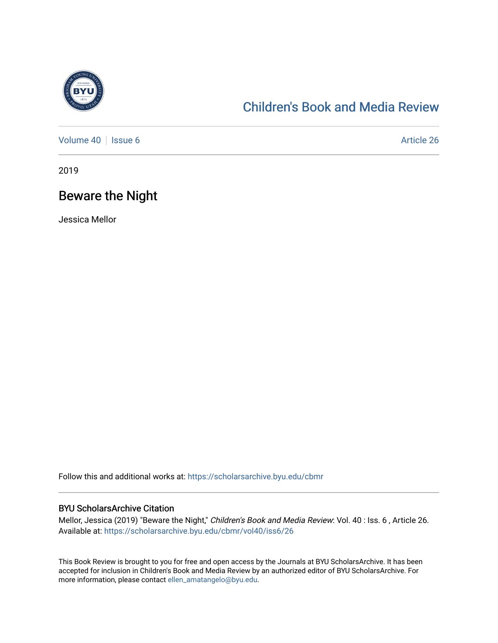

## [Children's Book and Media Review](https://scholarsarchive.byu.edu/cbmr)

[Volume 40](https://scholarsarchive.byu.edu/cbmr/vol40) | [Issue 6](https://scholarsarchive.byu.edu/cbmr/vol40/iss6) Article 26

2019

## Beware the Night

Jessica Mellor

Follow this and additional works at: [https://scholarsarchive.byu.edu/cbmr](https://scholarsarchive.byu.edu/cbmr?utm_source=scholarsarchive.byu.edu%2Fcbmr%2Fvol40%2Fiss6%2F26&utm_medium=PDF&utm_campaign=PDFCoverPages) 

#### BYU ScholarsArchive Citation

Mellor, Jessica (2019) "Beware the Night," Children's Book and Media Review: Vol. 40 : Iss. 6 , Article 26. Available at: [https://scholarsarchive.byu.edu/cbmr/vol40/iss6/26](https://scholarsarchive.byu.edu/cbmr/vol40/iss6/26?utm_source=scholarsarchive.byu.edu%2Fcbmr%2Fvol40%2Fiss6%2F26&utm_medium=PDF&utm_campaign=PDFCoverPages)

This Book Review is brought to you for free and open access by the Journals at BYU ScholarsArchive. It has been accepted for inclusion in Children's Book and Media Review by an authorized editor of BYU ScholarsArchive. For more information, please contact [ellen\\_amatangelo@byu.edu.](mailto:ellen_amatangelo@byu.edu)